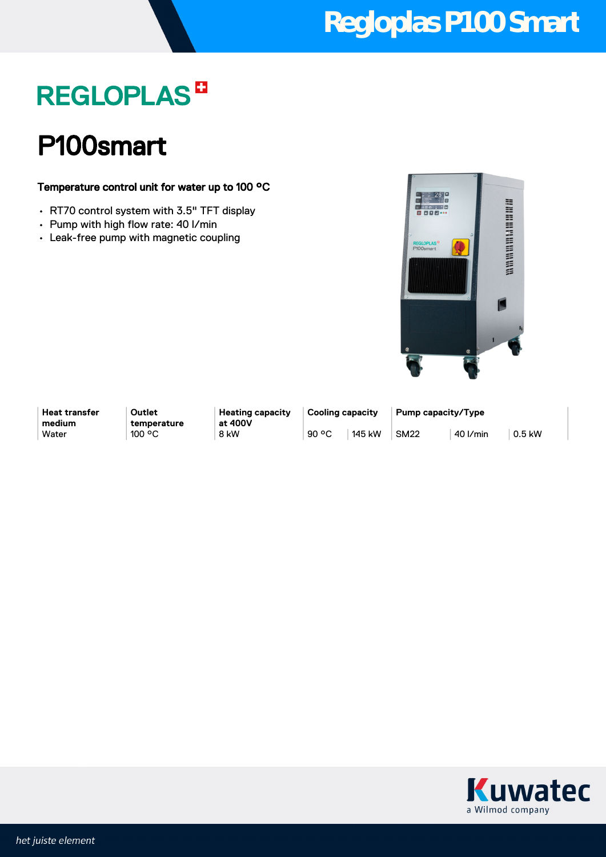## **Regloplas P100 Smart**

## **REGLOPLAS<sup>B</sup>**

### P100smart

#### Temperature control unit for water up to 100 °C

- RT70 control system with 3.5" TFT display
- Pump with high flow rate: 40 l/min
- Leak-free pump with magnetic coupling



**Heat transfer medium**

**Outlet temperature** **Heating capacity at 400V**

**Cooling capacity Pump capacity/Type** Water | 100 °C | 8 kW | 90 °C | 145 kW | SM22 | 40 l/min | 0.5 kW

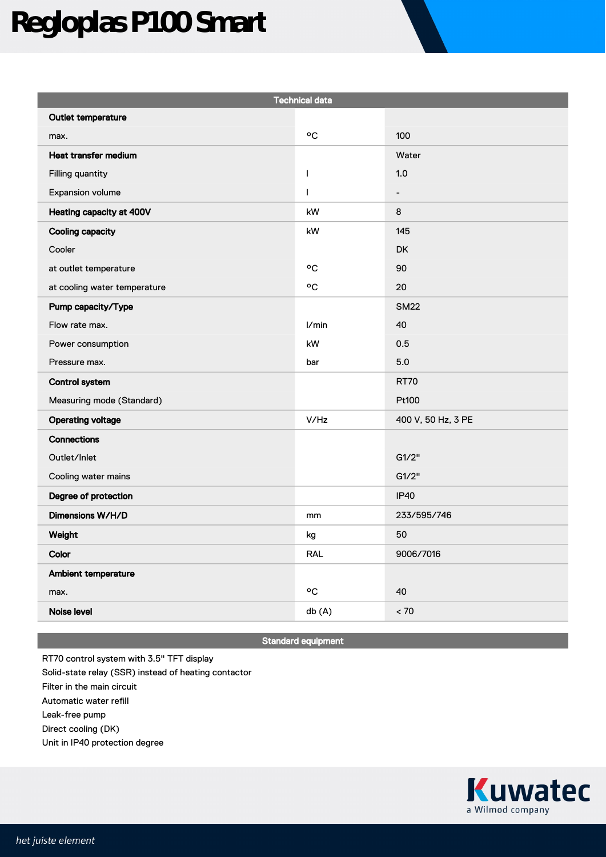# **Regloplas P100 Smart**

| <b>Technical data</b>        |            |                              |
|------------------------------|------------|------------------------------|
| Outlet temperature           |            |                              |
| max.                         | °C         | 100                          |
| Heat transfer medium         |            | Water                        |
| Filling quantity             | T          | 1.0                          |
| Expansion volume             | T          | $\qquad \qquad \blacksquare$ |
| Heating capacity at 400V     | kW         | 8                            |
| <b>Cooling capacity</b>      | kW         | 145                          |
| Cooler                       |            | DK                           |
| at outlet temperature        | °C         | 90                           |
| at cooling water temperature | ٥C         | 20                           |
| Pump capacity/Type           |            | <b>SM22</b>                  |
| Flow rate max.               | l/min      | 40                           |
| Power consumption            | kW         | 0.5                          |
| Pressure max.                | bar        | 5.0                          |
| <b>Control system</b>        |            | <b>RT70</b>                  |
| Measuring mode (Standard)    |            | Pt100                        |
| <b>Operating voltage</b>     | V/Hz       | 400 V, 50 Hz, 3 PE           |
| Connections                  |            |                              |
| Outlet/Inlet                 |            | G1/2"                        |
| Cooling water mains          |            | G1/2"                        |
| Degree of protection         |            | <b>IP40</b>                  |
| Dimensions W/H/D             | mm         | 233/595/746                  |
| Weight                       | kg         | 50                           |
| Color                        | <b>RAL</b> | 9006/7016                    |
| Ambient temperature          |            |                              |
| max.                         | °C         | 40                           |
| Noise level                  | db (A)     | < 70                         |

Standard equipment

RT70 control system with 3.5" TFT display Solid-state relay (SSR) instead of heating contactor Filter in the main circuit Automatic water refill Leak-free pump Direct cooling (DK) Unit in IP40 protection degree

> **Kuwatec** a Wilmod company